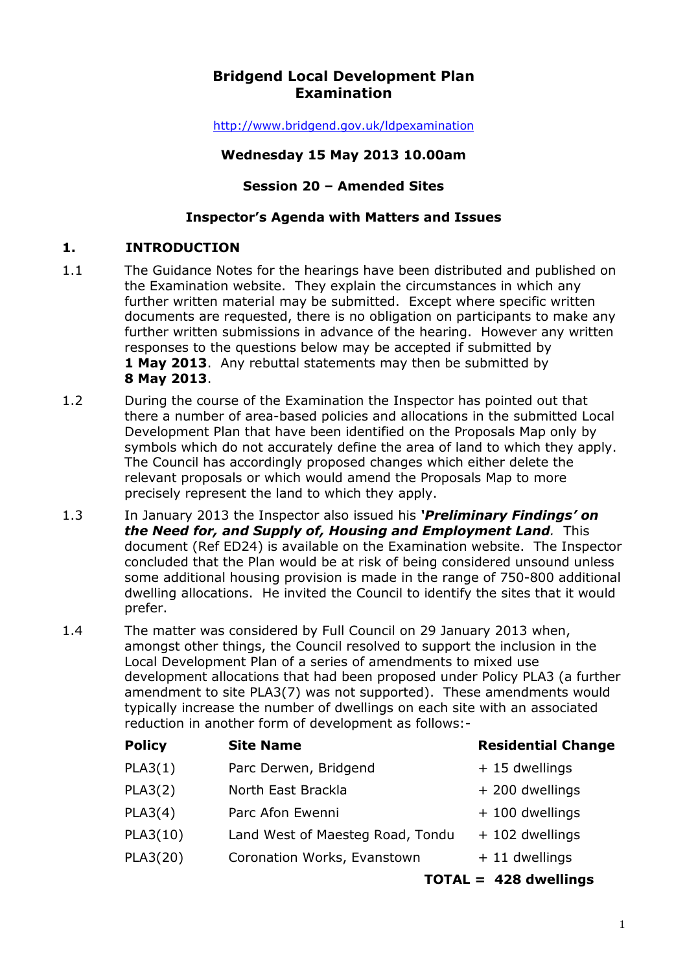# **Bridgend Local Development Plan Examination**

http://www.bridgend.gov.uk/ldpexamination

### **Wednesday 15 May 2013 10.00am**

### **Session 20 – Amended Sites**

### **Inspector's Agenda with Matters and Issues**

# **1. INTRODUCTION**

- 1.1 The Guidance Notes for the hearings have been distributed and published on the Examination website. They explain the circumstances in which any further written material may be submitted. Except where specific written documents are requested, there is no obligation on participants to make any further written submissions in advance of the hearing. However any written responses to the questions below may be accepted if submitted by **1 May 2013**. Any rebuttal statements may then be submitted by **8 May 2013**.
- 1.2 During the course of the Examination the Inspector has pointed out that there a number of area-based policies and allocations in the submitted Local Development Plan that have been identified on the Proposals Map only by symbols which do not accurately define the area of land to which they apply. The Council has accordingly proposed changes which either delete the relevant proposals or which would amend the Proposals Map to more precisely represent the land to which they apply.
- 1.3 In January 2013 the Inspector also issued his *'Preliminary Findings' on the Need for, and Supply of, Housing and Employment Land.* This document (Ref ED24) is available on the Examination website. The Inspector concluded that the Plan would be at risk of being considered unsound unless some additional housing provision is made in the range of 750-800 additional dwelling allocations. He invited the Council to identify the sites that it would prefer.
- 1.4 The matter was considered by Full Council on 29 January 2013 when, amongst other things, the Council resolved to support the inclusion in the Local Development Plan of a series of amendments to mixed use development allocations that had been proposed under Policy PLA3 (a further amendment to site PLA3(7) was not supported). These amendments would typically increase the number of dwellings on each site with an associated reduction in another form of development as follows:-

| <b>Policy</b> | <b>Site Name</b>                 | <b>Residential Change</b> |
|---------------|----------------------------------|---------------------------|
| PLA3(1)       | Parc Derwen, Bridgend            | + 15 dwellings            |
| PLA3(2)       | North East Brackla               | + 200 dwellings           |
| PLA3(4)       | Parc Afon Ewenni                 | + 100 dwellings           |
| PLA3(10)      | Land West of Maesteg Road, Tondu | + 102 dwellings           |
| PLA3(20)      | Coronation Works, Evanstown      | $+11$ dwellings           |
|               |                                  | $TOTAL = 428$ dwellings   |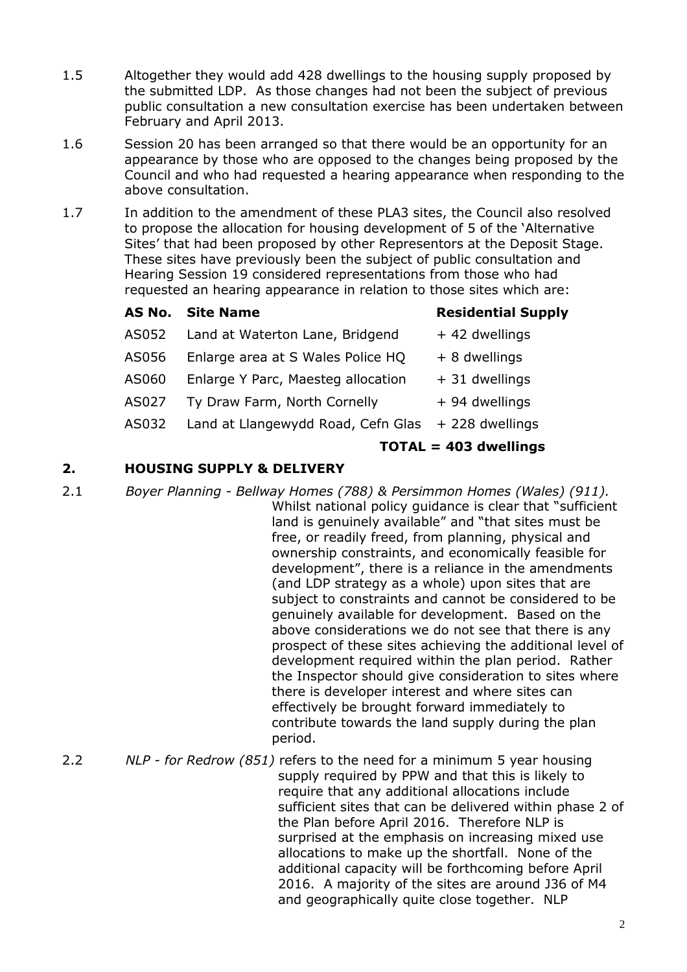- 1.5 Altogether they would add 428 dwellings to the housing supply proposed by the submitted LDP. As those changes had not been the subject of previous public consultation a new consultation exercise has been undertaken between February and April 2013.
- 1.6 Session 20 has been arranged so that there would be an opportunity for an appearance by those who are opposed to the changes being proposed by the Council and who had requested a hearing appearance when responding to the above consultation.
- 1.7 In addition to the amendment of these PLA3 sites, the Council also resolved to propose the allocation for housing development of 5 of the 'Alternative Sites' that had been proposed by other Representors at the Deposit Stage. These sites have previously been the subject of public consultation and Hearing Session 19 considered representations from those who had requested an hearing appearance in relation to those sites which are:

|       | <b>AS No. Site Name</b>            | <b>Residential Supply</b> |
|-------|------------------------------------|---------------------------|
| AS052 | Land at Waterton Lane, Bridgend    | + 42 dwellings            |
| AS056 | Enlarge area at S Wales Police HQ  | $+8$ dwellings            |
| AS060 | Enlarge Y Parc, Maesteg allocation | + 31 dwellings            |
| AS027 | Ty Draw Farm, North Cornelly       | + 94 dwellings            |
| AS032 | Land at Llangewydd Road, Cefn Glas | + 228 dwellings           |
|       | $TOTAL = 403$ dwellings            |                           |

#### **2. HOUSING SUPPLY & DELIVERY**

- 2.1 *Boyer Planning Bellway Homes (788) & Persimmon Homes (Wales) (911).* Whilst national policy guidance is clear that "sufficient land is genuinely available" and "that sites must be free, or readily freed, from planning, physical and ownership constraints, and economically feasible for development", there is a reliance in the amendments (and LDP strategy as a whole) upon sites that are subject to constraints and cannot be considered to be genuinely available for development. Based on the above considerations we do not see that there is any prospect of these sites achieving the additional level of development required within the plan period. Rather the Inspector should give consideration to sites where there is developer interest and where sites can effectively be brought forward immediately to contribute towards the land supply during the plan period.
- 2.2 *NLP for Redrow (851)* refers to the need for a minimum 5 year housing supply required by PPW and that this is likely to require that any additional allocations include sufficient sites that can be delivered within phase 2 of the Plan before April 2016. Therefore NLP is surprised at the emphasis on increasing mixed use allocations to make up the shortfall. None of the additional capacity will be forthcoming before April 2016. A majority of the sites are around J36 of M4 and geographically quite close together. NLP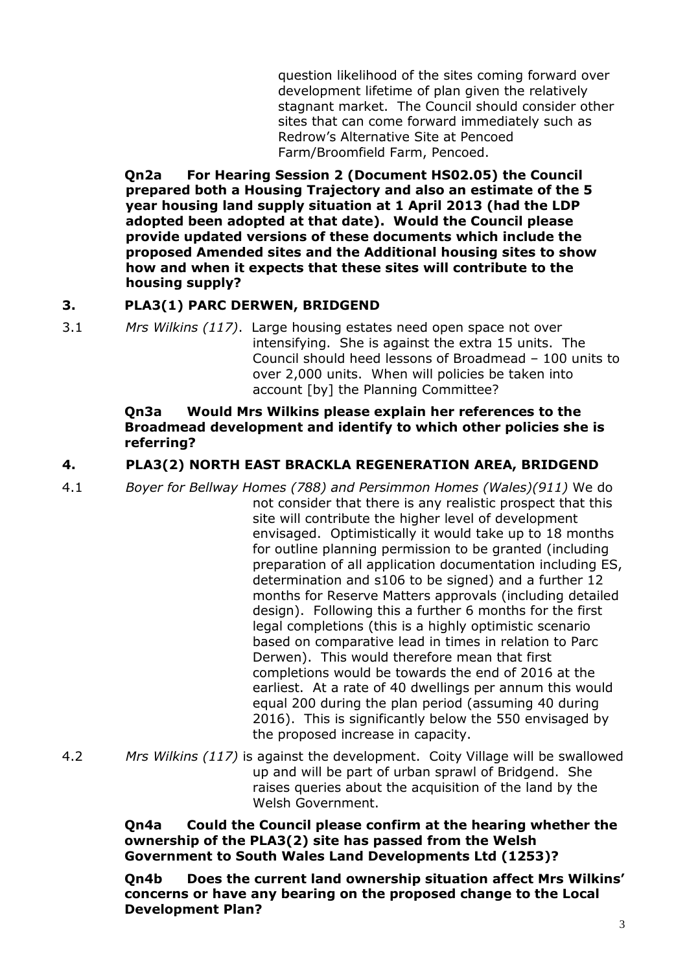question likelihood of the sites coming forward over development lifetime of plan given the relatively stagnant market. The Council should consider other sites that can come forward immediately such as Redrow's Alternative Site at Pencoed Farm/Broomfield Farm, Pencoed.

**Qn2a For Hearing Session 2 (Document HS02.05) the Council prepared both a Housing Trajectory and also an estimate of the 5 year housing land supply situation at 1 April 2013 (had the LDP adopted been adopted at that date). Would the Council please provide updated versions of these documents which include the proposed Amended sites and the Additional housing sites to show how and when it expects that these sites will contribute to the housing supply?** 

### **3. PLA3(1) PARC DERWEN, BRIDGEND**

3.1 *Mrs Wilkins (117)*. Large housing estates need open space not over intensifying. She is against the extra 15 units. The Council should heed lessons of Broadmead – 100 units to over 2,000 units. When will policies be taken into account [by] the Planning Committee?

#### **Qn3a Would Mrs Wilkins please explain her references to the Broadmead development and identify to which other policies she is referring?**

### **4. PLA3(2) NORTH EAST BRACKLA REGENERATION AREA, BRIDGEND**

- 4.1 *Boyer for Bellway Homes (788) and Persimmon Homes (Wales)(911)* We do not consider that there is any realistic prospect that this site will contribute the higher level of development envisaged. Optimistically it would take up to 18 months for outline planning permission to be granted (including preparation of all application documentation including ES, determination and s106 to be signed) and a further 12 months for Reserve Matters approvals (including detailed design). Following this a further 6 months for the first legal completions (this is a highly optimistic scenario based on comparative lead in times in relation to Parc Derwen). This would therefore mean that first completions would be towards the end of 2016 at the earliest. At a rate of 40 dwellings per annum this would equal 200 during the plan period (assuming 40 during 2016). This is significantly below the 550 envisaged by the proposed increase in capacity.
- 4.2 *Mrs Wilkins (117)* is against the development. Coity Village will be swallowed up and will be part of urban sprawl of Bridgend. She raises queries about the acquisition of the land by the Welsh Government.

**Qn4a Could the Council please confirm at the hearing whether the ownership of the PLA3(2) site has passed from the Welsh Government to South Wales Land Developments Ltd (1253)?** 

**Qn4b Does the current land ownership situation affect Mrs Wilkins' concerns or have any bearing on the proposed change to the Local Development Plan?**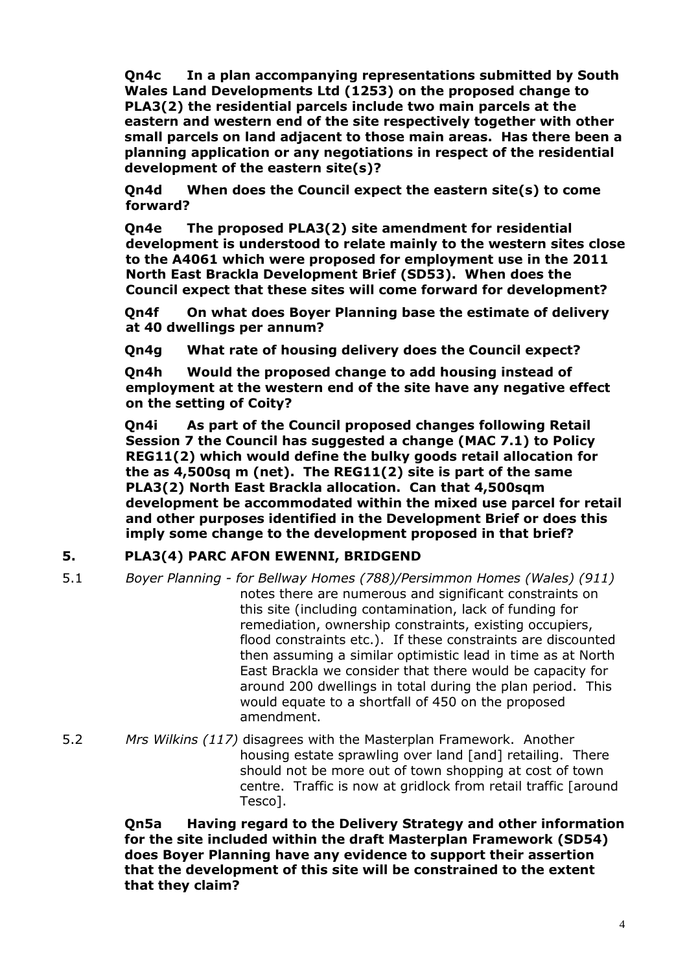**Qn4c In a plan accompanying representations submitted by South Wales Land Developments Ltd (1253) on the proposed change to PLA3(2) the residential parcels include two main parcels at the eastern and western end of the site respectively together with other small parcels on land adjacent to those main areas. Has there been a planning application or any negotiations in respect of the residential development of the eastern site(s)?** 

**Qn4d When does the Council expect the eastern site(s) to come forward?** 

**Qn4e The proposed PLA3(2) site amendment for residential development is understood to relate mainly to the western sites close to the A4061 which were proposed for employment use in the 2011 North East Brackla Development Brief (SD53). When does the Council expect that these sites will come forward for development?** 

**Qn4f On what does Boyer Planning base the estimate of delivery at 40 dwellings per annum?** 

**Qn4g What rate of housing delivery does the Council expect?** 

**Qn4h Would the proposed change to add housing instead of employment at the western end of the site have any negative effect on the setting of Coity?** 

**Qn4i As part of the Council proposed changes following Retail Session 7 the Council has suggested a change (MAC 7.1) to Policy REG11(2) which would define the bulky goods retail allocation for the as 4,500sq m (net). The REG11(2) site is part of the same PLA3(2) North East Brackla allocation. Can that 4,500sqm development be accommodated within the mixed use parcel for retail and other purposes identified in the Development Brief or does this imply some change to the development proposed in that brief?** 

#### **5. PLA3(4) PARC AFON EWENNI, BRIDGEND**

- 5.1 *Boyer Planning for Bellway Homes (788)/Persimmon Homes (Wales) (911)*  notes there are numerous and significant constraints on this site (including contamination, lack of funding for remediation, ownership constraints, existing occupiers, flood constraints etc.). If these constraints are discounted then assuming a similar optimistic lead in time as at North East Brackla we consider that there would be capacity for around 200 dwellings in total during the plan period. This would equate to a shortfall of 450 on the proposed amendment.
- 5.2 *Mrs Wilkins (117)* disagrees with the Masterplan Framework. Another housing estate sprawling over land [and] retailing. There should not be more out of town shopping at cost of town centre. Traffic is now at gridlock from retail traffic [around Tesco].

**Qn5a Having regard to the Delivery Strategy and other information for the site included within the draft Masterplan Framework (SD54) does Boyer Planning have any evidence to support their assertion that the development of this site will be constrained to the extent that they claim?**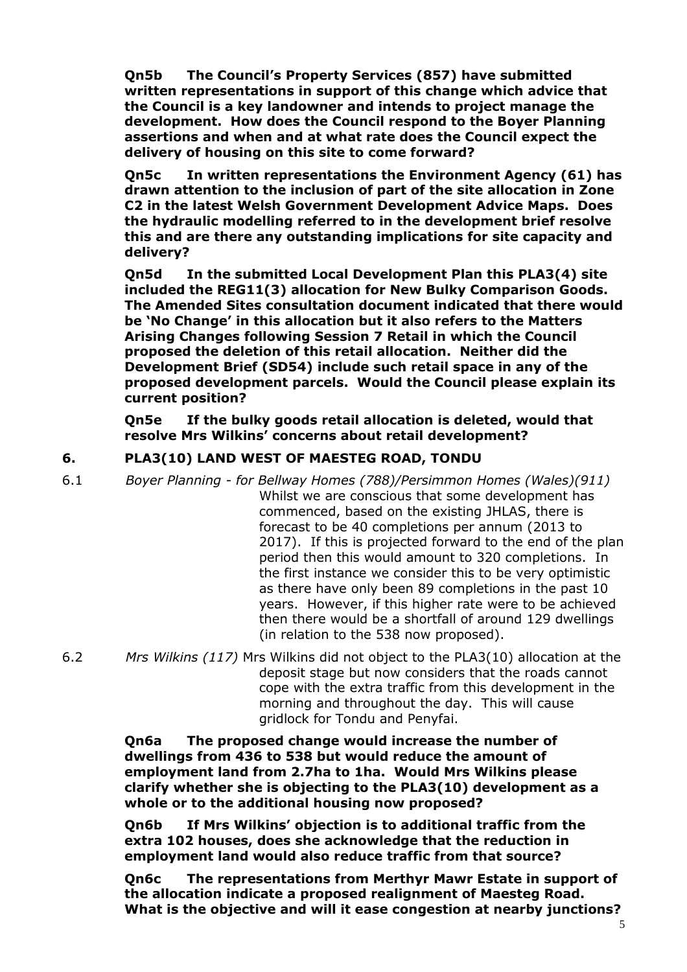**Qn5b The Council's Property Services (857) have submitted written representations in support of this change which advice that the Council is a key landowner and intends to project manage the development. How does the Council respond to the Boyer Planning assertions and when and at what rate does the Council expect the delivery of housing on this site to come forward?** 

**Qn5c In written representations the Environment Agency (61) has drawn attention to the inclusion of part of the site allocation in Zone C2 in the latest Welsh Government Development Advice Maps. Does the hydraulic modelling referred to in the development brief resolve this and are there any outstanding implications for site capacity and delivery?** 

**Qn5d In the submitted Local Development Plan this PLA3(4) site included the REG11(3) allocation for New Bulky Comparison Goods. The Amended Sites consultation document indicated that there would be 'No Change' in this allocation but it also refers to the Matters Arising Changes following Session 7 Retail in which the Council proposed the deletion of this retail allocation. Neither did the Development Brief (SD54) include such retail space in any of the proposed development parcels. Would the Council please explain its current position?** 

**Qn5e If the bulky goods retail allocation is deleted, would that resolve Mrs Wilkins' concerns about retail development?** 

## **6. PLA3(10) LAND WEST OF MAESTEG ROAD, TONDU**

- 6.1 *Boyer Planning for Bellway Homes (788)/Persimmon Homes (Wales)(911)*  Whilst we are conscious that some development has commenced, based on the existing JHLAS, there is forecast to be 40 completions per annum (2013 to 2017). If this is projected forward to the end of the plan period then this would amount to 320 completions. In the first instance we consider this to be very optimistic as there have only been 89 completions in the past 10 years. However, if this higher rate were to be achieved then there would be a shortfall of around 129 dwellings (in relation to the 538 now proposed).
- 6.2 *Mrs Wilkins (117)* Mrs Wilkins did not object to the PLA3(10) allocation at the deposit stage but now considers that the roads cannot cope with the extra traffic from this development in the morning and throughout the day. This will cause gridlock for Tondu and Penyfai.

**Qn6a The proposed change would increase the number of dwellings from 436 to 538 but would reduce the amount of employment land from 2.7ha to 1ha. Would Mrs Wilkins please clarify whether she is objecting to the PLA3(10) development as a whole or to the additional housing now proposed?** 

**Qn6b If Mrs Wilkins' objection is to additional traffic from the extra 102 houses, does she acknowledge that the reduction in employment land would also reduce traffic from that source?** 

**Qn6c The representations from Merthyr Mawr Estate in support of the allocation indicate a proposed realignment of Maesteg Road. What is the objective and will it ease congestion at nearby junctions?**